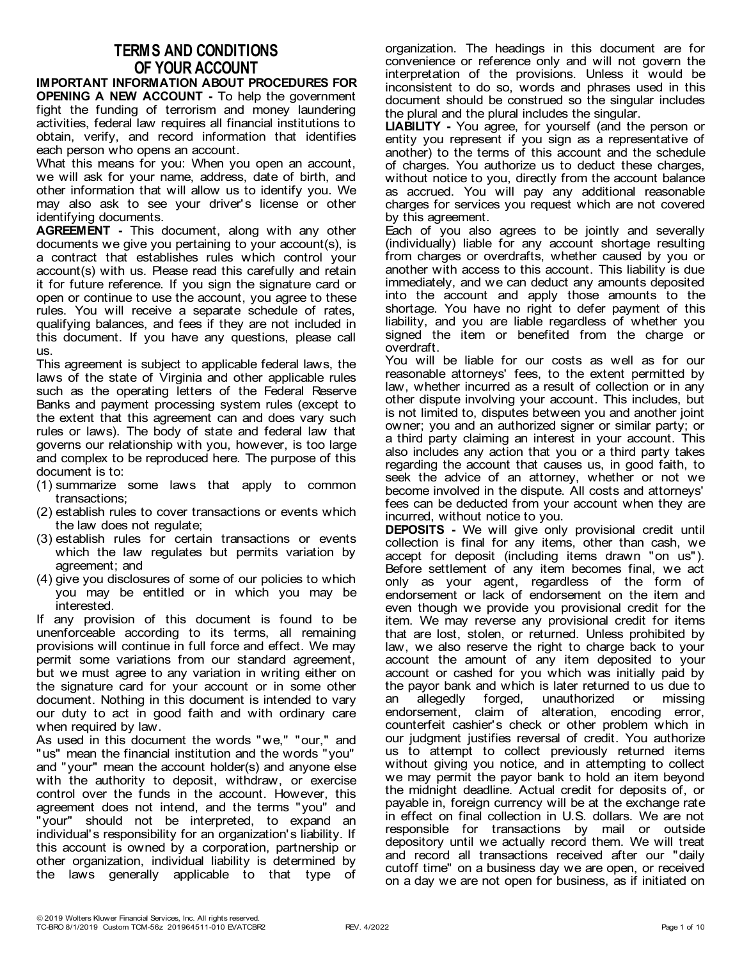## **TERMS AND CONDITIONS OF YOUR ACCOUNT**

**IMPORTANT INFORMATION ABOUT PROCEDURES FOR OPENING A NEW ACCOUNT -** To help the government fight the funding of terrorism and money laundering activities, federal law requires all financial institutions to obtain, verify, and record information that identifies each person who opens an account.

What this means for you: When you open an account, we will ask for your name, address, date of birth, and other information that will allow us to identify you. We may also ask to see your driver's license or other identifying documents.

**AGREEMENT -** This document, along with any other documents we give you pertaining to your account(s), is a contract that establishes rules which control your account(s) with us. Please read this carefully and retain it for future reference. If you sign the signature card or open or continue to use the account, you agree to these rules. You will receive a separate schedule of rates, qualifying balances, and fees if they are not included in this document. If you have any questions, please call us.

This agreement is subject to applicable federal laws, the laws of the state of Virginia and other applicable rules such as the operating letters of the Federal Reserve Banks and payment processing system rules (except to the extent that this agreement can and does vary such rules or laws). The body of state and federal law that governs our relationship with you, however, is too large and complex to be reproduced here. The purpose of this document is to:

- (1) summarize some laws that apply to common transactions;
- (2) establish rules to cover transactions or events which the law does not regulate;
- (3) establish rules for certain transactions or events which the law regulates but permits variation by agreement; and
- (4) give you disclosures of some of our policies to which you may be entitled or in which you may be interested.

If any provision of this document is found to be unenforceable according to its terms, all remaining provisions will continue in full force and effect. We may permit some variations from our standard agreement, but we must agree to any variation in writing either on the signature card for your account or in some other document. Nothing in this document is intended to vary our duty to act in good faith and with ordinary care when required by law.

As used in this document the words "we," "our," and "us" mean the financial institution and the words "you" and "your" mean the account holder(s) and anyone else with the authority to deposit, withdraw, or exercise control over the funds in the account. However, this agreement does not intend, and the terms "you" and "your" should not be interpreted, to expand an individual's responsibility for an organization's liability. If this account is owned by a corporation, partnership or other organization, individual liability is determined by the laws generally applicable to that type of

organization. The headings in this document are for convenience or reference only and will not govern the interpretation of the provisions. Unless it would be inconsistent to do so, words and phrases used in this document should be construed so the singular includes the plural and the plural includes the singular.

**LIABILITY -** You agree, for yourself (and the person or entity you represent if you sign as a representative of another) to the terms of this account and the schedule of charges. You authorize us to deduct these charges, without notice to you, directly from the account balance as accrued. You will pay any additional reasonable charges for services you request which are not covered by this agreement.

Each of you also agrees to be jointly and severally (individually) liable for any account shortage resulting from charges or overdrafts, whether caused by you or another with access to this account. This liability is due immediately, and we can deduct any amounts deposited into the account and apply those amounts to the shortage. You have no right to defer payment of this liability, and you are liable regardless of whether you signed the item or benefited from the charge or overdraft.

You will be liable for our costs as well as for our reasonable attorneys' fees, to the extent permitted by law, whether incurred as a result of collection or in any other dispute involving your account. This includes, but is not limited to, disputes between you and another joint owner; you and an authorized signer or similar party; or a third party claiming an interest in your account. This also includes any action that you or a third party takes regarding the account that causes us, in good faith, to seek the advice of an attorney, whether or not we become involved in the dispute. All costs and attorneys' fees can be deducted from your account when they are incurred, without notice to you.

**DEPOSITS -** We will give only provisional credit until collection is final for any items, other than cash, we accept for deposit (including items drawn "on us"). Before settlement of any item becomes final, we act only as your agent, regardless of the form of endorsement or lack of endorsement on the item and even though we provide you provisional credit for the item. We may reverse any provisional credit for items that are lost, stolen, or returned. Unless prohibited by law, we also reserve the right to charge back to your account the amount of any item deposited to your account or cashed for you which was initially paid by the payor bank and which is later returned to us due to an allegedly forged, unauthorized or missing endorsement, claim of alteration, encoding error, counterfeit cashier's check or other problem which in our judgment justifies reversal of credit. You authorize us to attempt to collect previously returned items without giving you notice, and in attempting to collect we may permit the payor bank to hold an item beyond the midnight deadline. Actual credit for deposits of, or payable in, foreign currency will be at the exchange rate in effect on final collection in U.S. dollars. We are not responsible for transactions by mail or outside depository until we actually record them. We will treat and record all transactions received after our "daily cutoff time" on a business day we are open, or received on a day we are not open for business, as if initiated on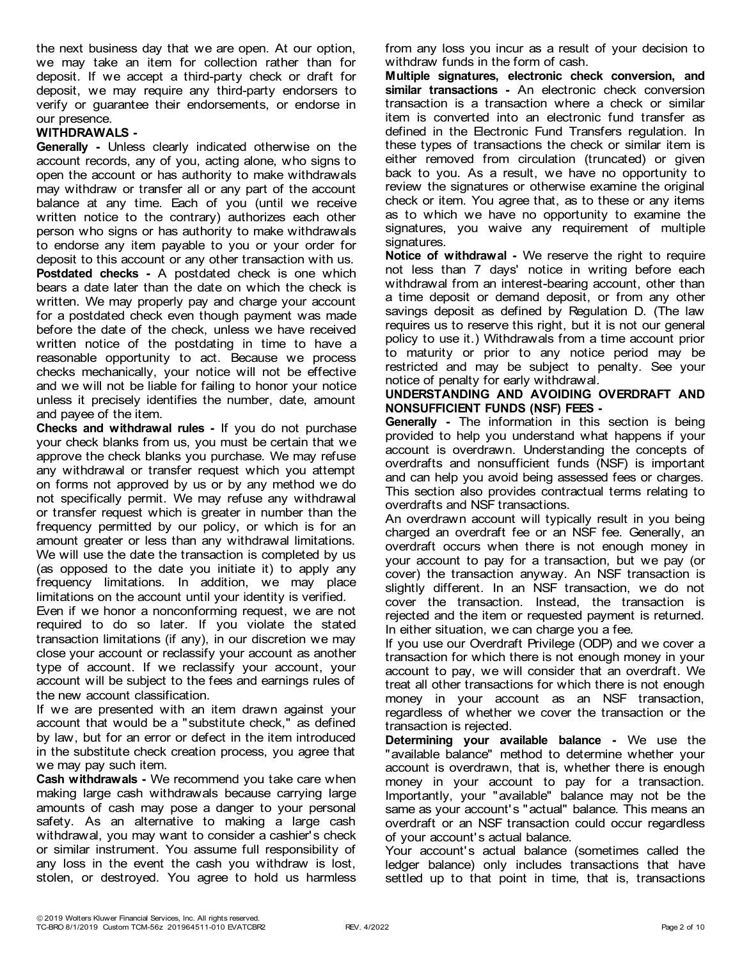the next business day that we are open. At our option, we may take an item for collection rather than for deposit. If we accept a third-party check or draft for deposit, we may require any third-party endorsers to verify or guarantee their endorsements, or endorse in our presence.

## **WITHDRAWALS -**

**Generally -** Unless clearly indicated otherwise on the account records, any of you, acting alone, who signs to open the account or has authority to make withdrawals may withdraw or transfer all or any part of the account balance at any time. Each of you (until we receive written notice to the contrary) authorizes each other person who signs or has authority to make withdrawals to endorse any item payable to you or your order for deposit to this account or any other transaction with us. **Postdated checks -** A postdated check is one which bears a date later than the date on which the check is written. We may properly pay and charge your account for a postdated check even though payment was made before the date of the check, unless we have received written notice of the postdating in time to have a reasonable opportunity to act. Because we process checks mechanically, your notice will not be effective and we will not be liable for failing to honor your notice unless it precisely identifies the number, date, amount and payee of the item.

**Checks and withdrawal rules -** If you do not purchase your check blanks from us, you must be certain that we approve the check blanks you purchase. We may refuse any withdrawal or transfer request which you attempt on forms not approved by us or by any method we do not specifically permit. We may refuse any withdrawal or transfer request which is greater in number than the frequency permitted by our policy, or which is for an amount greater or less than any withdrawal limitations. We will use the date the transaction is completed by us (as opposed to the date you initiate it) to apply any frequency limitations. In addition, we may place limitations on the account until your identity is verified.

Even if we honor a nonconforming request, we are not required to do so later. If you violate the stated transaction limitations (if any), in our discretion we may close your account or reclassify your account as another type of account. If we reclassify your account, your account will be subject to the fees and earnings rules of the new account classification.

If we are presented with an item drawn against your account that would be a "substitute check," as defined by law, but for an error or defect in the item introduced in the substitute check creation process, you agree that we may pay such item.

**Cash withdrawals -** We recommend you take care when making large cash withdrawals because carrying large amounts of cash may pose a danger to your personal safety. As an alternative to making a large cash withdrawal, you may want to consider a cashier's check or similar instrument. You assume full responsibility of any loss in the event the cash you withdraw is lost, stolen, or destroyed. You agree to hold us harmless

from any loss you incur as a result of your decision to withdraw funds in the form of cash.

**Multiple signatures, electronic check conversion, and similar transactions -** An electronic check conversion transaction is a transaction where a check or similar item is converted into an electronic fund transfer as defined in the Electronic Fund Transfers regulation. In these types of transactions the check or similar item is either removed from circulation (truncated) or given back to you. As a result, we have no opportunity to review the signatures or otherwise examine the original check or item. You agree that, as to these or any items as to which we have no opportunity to examine the signatures, you waive any requirement of multiple signatures.

**Notice of withdrawal -** We reserve the right to require not less than 7 days' notice in writing before each withdrawal from an interest-bearing account, other than a time deposit or demand deposit, or from any other savings deposit as defined by Regulation D. (The law requires us to reserve this right, but it is not our general policy to use it.) Withdrawals from a time account prior to maturity or prior to any notice period may be restricted and may be subject to penalty. See your notice of penalty for early withdrawal.

## **UNDERSTANDING AND AVOIDING OVERDRAFT AND NONSUFFICIENT FUNDS (NSF) FEES -**

**Generally -** The information in this section is being provided to help you understand what happens if your account is overdrawn. Understanding the concepts of overdrafts and nonsufficient funds (NSF) is important and can help you avoid being assessed fees or charges. This section also provides contractual terms relating to overdrafts and NSF transactions.

An overdrawn account will typically result in you being charged an overdraft fee or an NSF fee. Generally, an overdraft occurs when there is not enough money in your account to pay for a transaction, but we pay (or cover) the transaction anyway. An NSF transaction is slightly different. In an NSF transaction, we do not cover the transaction. Instead, the transaction is rejected and the item or requested payment is returned. In either situation, we can charge you a fee.

If you use our Overdraft Privilege (ODP) and we cover a transaction for which there is not enough money in your account to pay, we will consider that an overdraft. We treat all other transactions for which there is not enough money in your account as an NSF transaction, regardless of whether we cover the transaction or the transaction is rejected.

**Determining your available balance -** We use the "available balance" method to determine whether your account is overdrawn, that is, whether there is enough money in your account to pay for a transaction. Importantly, your "available" balance may not be the same as your account's "actual" balance. This means an overdraft or an NSF transaction could occur regardless of your account's actual balance.

Your account's actual balance (sometimes called the ledger balance) only includes transactions that have settled up to that point in time, that is, transactions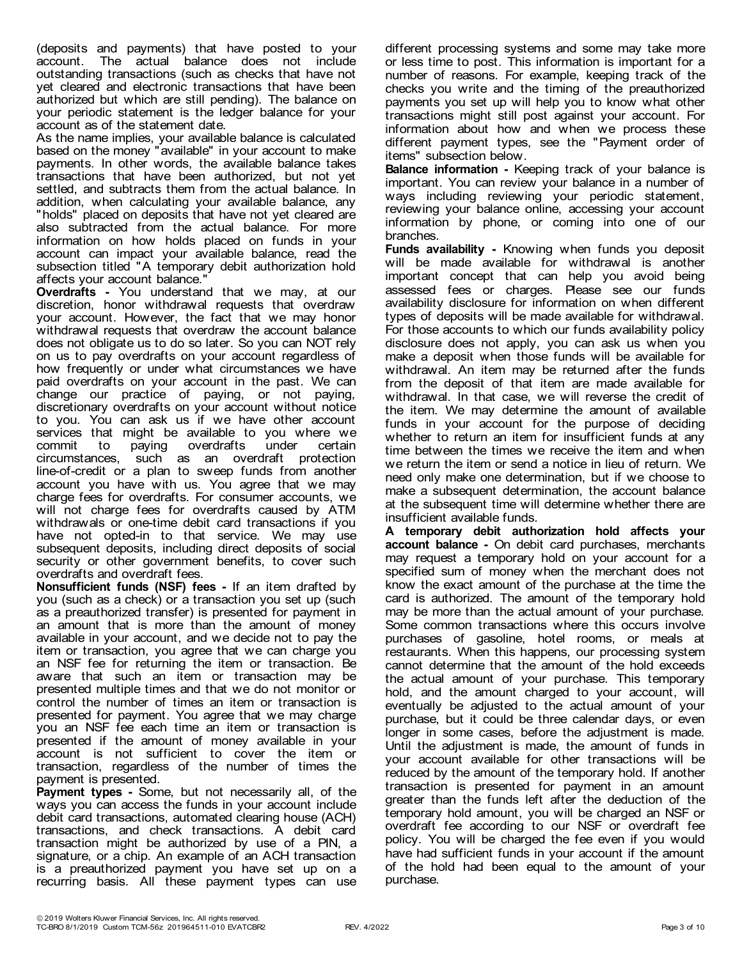(deposits and payments) that have posted to your account. The actual balance does not include outstanding transactions (such as checks that have not yet cleared and electronic transactions that have been authorized but which are still pending). The balance on your periodic statement is the ledger balance for your account as of the statement date.

As the name implies, your available balance is calculated based on the money "available" in your account to make payments. In other words, the available balance takes transactions that have been authorized, but not yet settled, and subtracts them from the actual balance. In addition, when calculating your available balance, any "holds" placed on deposits that have not yet cleared are also subtracted from the actual balance. For more information on how holds placed on funds in your account can impact your available balance, read the subsection titled "A temporary debit authorization hold affects your account balance."

**Overdrafts -** You understand that we may, at our discretion, honor withdrawal requests that overdraw your account. However, the fact that we may honor withdrawal requests that overdraw the account balance does not obligate us to do so later. So you can NOT rely on us to pay overdrafts on your account regardless of how frequently or under what circumstances we have paid overdrafts on your account in the past. We can change our practice of paying, or not paying, discretionary overdrafts on your account without notice to you. You can ask us if we have other account services that might be available to you where we<br>commit to paying overdrafts under certain commit to paying overdrafts under certain circumstances, such as an overdraft protection line-of-credit or a plan to sweep funds from another account you have with us. You agree that we may charge fees for overdrafts. For consumer accounts, we will not charge fees for overdrafts caused by ATM withdrawals or one-time debit card transactions if you have not opted-in to that service. We may use subsequent deposits, including direct deposits of social security or other government benefits, to cover such overdrafts and overdraft fees.

**Nonsufficient funds (NSF) fees -** If an item drafted by you (such as a check) or a transaction you set up (such as a preauthorized transfer) is presented for payment in an amount that is more than the amount of money available in your account, and we decide not to pay the item or transaction, you agree that we can charge you an NSF fee for returning the item or transaction. Be aware that such an item or transaction may be presented multiple times and that we do not monitor or control the number of times an item or transaction is presented for payment. You agree that we may charge you an NSF fee each time an item or transaction is presented if the amount of money available in your account is not sufficient to cover the item or transaction, regardless of the number of times the payment is presented.

**Payment types -** Some, but not necessarily all, of the ways you can access the funds in your account include debit card transactions, automated clearing house (ACH) transactions, and check transactions. A debit card transaction might be authorized by use of a PIN, a signature, or a chip. An example of an ACH transaction is a preauthorized payment you have set up on a recurring basis. All these payment types can use

different processing systems and some may take more or less time to post. This information is important for a number of reasons. For example, keeping track of the checks you write and the timing of the preauthorized payments you set up will help you to know what other transactions might still post against your account. For information about how and when we process these different payment types, see the "Payment order of items" subsection below.

**Balance information -** Keeping track of your balance is important. You can review your balance in a number of ways including reviewing your periodic statement, reviewing your balance online, accessing your account information by phone, or coming into one of our branches.

**Funds availability -** Knowing when funds you deposit will be made available for withdrawal is another important concept that can help you avoid being assessed fees or charges. Please see our funds availability disclosure for information on when different types of deposits will be made available for withdrawal. For those accounts to which our funds availability policy disclosure does not apply, you can ask us when you make a deposit when those funds will be available for withdrawal. An item may be returned after the funds from the deposit of that item are made available for withdrawal. In that case, we will reverse the credit of the item. We may determine the amount of available funds in your account for the purpose of deciding whether to return an item for insufficient funds at any time between the times we receive the item and when we return the item or send a notice in lieu of return. We need only make one determination, but if we choose to make a subsequent determination, the account balance at the subsequent time will determine whether there are insufficient available funds.

**A temporary debit authorization hold affects your account balance -** On debit card purchases, merchants may request a temporary hold on your account for a specified sum of money when the merchant does not know the exact amount of the purchase at the time the card is authorized. The amount of the temporary hold may be more than the actual amount of your purchase. Some common transactions where this occurs involve purchases of gasoline, hotel rooms, or meals at restaurants. When this happens, our processing system cannot determine that the amount of the hold exceeds the actual amount of your purchase. This temporary hold, and the amount charged to your account, will eventually be adjusted to the actual amount of your purchase, but it could be three calendar days, or even longer in some cases, before the adjustment is made. Until the adjustment is made, the amount of funds in your account available for other transactions will be reduced by the amount of the temporary hold. If another transaction is presented for payment in an amount greater than the funds left after the deduction of the temporary hold amount, you will be charged an NSF or overdraft fee according to our NSF or overdraft fee policy. You will be charged the fee even if you would have had sufficient funds in your account if the amount of the hold had been equal to the amount of your purchase.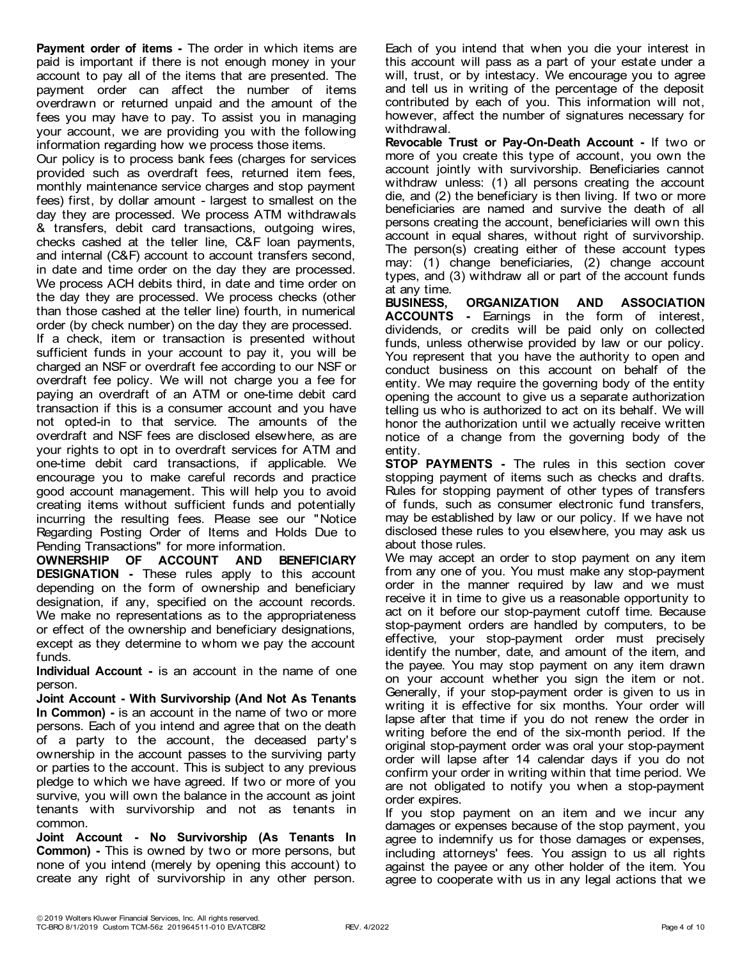**Payment order of items -** The order in which items are paid is important if there is not enough money in your account to pay all of the items that are presented. The payment order can affect the number of items overdrawn or returned unpaid and the amount of the fees you may have to pay. To assist you in managing your account, we are providing you with the following information regarding how we process those items.

Our policy is to process bank fees (charges for services provided such as overdraft fees, returned item fees, monthly maintenance service charges and stop payment fees) first, by dollar amount - largest to smallest on the day they are processed. We process ATM withdrawals & transfers, debit card transactions, outgoing wires, checks cashed at the teller line, C&F loan payments, and internal (C&F) account to account transfers second, in date and time order on the day they are processed. We process ACH debits third, in date and time order on the day they are processed. We process checks (other than those cashed at the teller line) fourth, in numerical order (by check number) on the day they are processed. If a check, item or transaction is presented without

sufficient funds in your account to pay it, you will be charged an NSF or overdraft fee according to our NSF or overdraft fee policy. We will not charge you a fee for paying an overdraft of an ATM or one-time debit card transaction if this is a consumer account and you have not opted-in to that service. The amounts of the overdraft and NSF fees are disclosed elsewhere, as are your rights to opt in to overdraft services for ATM and one-time debit card transactions, if applicable. We encourage you to make careful records and practice good account management. This will help you to avoid creating items without sufficient funds and potentially incurring the resulting fees. Please see our "Notice Regarding Posting Order of Items and Holds Due to Pending Transactions" for more information.

**OWNERSHIP OF ACCOUNT AND BENEFICIARY DESIGNATION -** These rules apply to this account depending on the form of ownership and beneficiary designation, if any, specified on the account records. We make no representations as to the appropriateness or effect of the ownership and beneficiary designations, except as they determine to whom we pay the account funds.

**Individual Account -** is an account in the name of one person.

**Joint Account - With Survivorship (And Not As Tenants In Common) -** is an account in the name of two or more persons. Each of you intend and agree that on the death of a party to the account, the deceased party's ownership in the account passes to the surviving party or parties to the account. This is subject to any previous pledge to which we have agreed. If two or more of you survive, you will own the balance in the account as joint tenants with survivorship and not as tenants in common.

**Joint Account - No Survivorship (As Tenants In Common) -** This is owned by two or more persons, but none of you intend (merely by opening this account) to create any right of survivorship in any other person.

Each of you intend that when you die your interest in this account will pass as a part of your estate under a will, trust, or by intestacy. We encourage you to agree and tell us in writing of the percentage of the deposit contributed by each of you. This information will not, however, affect the number of signatures necessary for withdrawal.

**Revocable Trust or Pay-On-Death Account -** If two or more of you create this type of account, you own the account jointly with survivorship. Beneficiaries cannot withdraw unless: (1) all persons creating the account die, and (2) the beneficiary is then living. If two or more beneficiaries are named and survive the death of all persons creating the account, beneficiaries will own this account in equal shares, without right of survivorship. The person(s) creating either of these account types may: (1) change beneficiaries, (2) change account types, and (3) withdraw all or part of the account funds at any time.

**BUSINESS, ORGANIZATION AND ASSOCIATION ACCOUNTS -** Earnings in the form of interest, dividends, or credits will be paid only on collected funds, unless otherwise provided by law or our policy. You represent that you have the authority to open and conduct business on this account on behalf of the entity. We may require the governing body of the entity opening the account to give us a separate authorization telling us who is authorized to act on its behalf. We will honor the authorization until we actually receive written notice of a change from the governing body of the entity.

**STOP PAYMENTS -** The rules in this section cover stopping payment of items such as checks and drafts. Rules for stopping payment of other types of transfers of funds, such as consumer electronic fund transfers, may be established by law or our policy. If we have not disclosed these rules to you elsewhere, you may ask us about those rules.

We may accept an order to stop payment on any item from any one of you. You must make any stop-payment order in the manner required by law and we must receive it in time to give us a reasonable opportunity to act on it before our stop-payment cutoff time. Because stop-payment orders are handled by computers, to be effective, your stop-payment order must precisely identify the number, date, and amount of the item, and the payee. You may stop payment on any item drawn on your account whether you sign the item or not. Generally, if your stop-payment order is given to us in writing it is effective for six months. Your order will lapse after that time if you do not renew the order in writing before the end of the six-month period. If the original stop-payment order was oral your stop-payment order will lapse after 14 calendar days if you do not confirm your order in writing within that time period. We are not obligated to notify you when a stop-payment order expires.

If you stop payment on an item and we incur any damages or expenses because of the stop payment, you agree to indemnify us for those damages or expenses, including attorneys' fees. You assign to us all rights against the payee or any other holder of the item. You agree to cooperate with us in any legal actions that we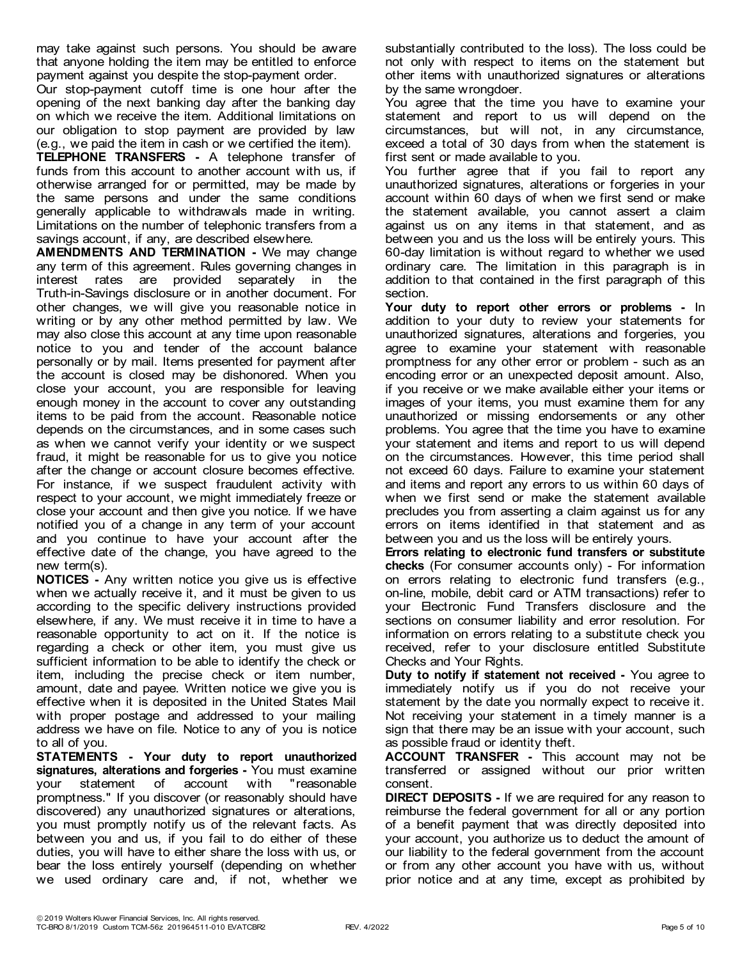may take against such persons. You should be aware that anyone holding the item may be entitled to enforce payment against you despite the stop-payment order.

Our stop-payment cutoff time is one hour after the opening of the next banking day after the banking day on which we receive the item. Additional limitations on our obligation to stop payment are provided by law (e.g., we paid the item in cash or we certified the item).

**TELEPHONE TRANSFERS -** A telephone transfer of funds from this account to another account with us, if otherwise arranged for or permitted, may be made by the same persons and under the same conditions generally applicable to withdrawals made in writing. Limitations on the number of telephonic transfers from a savings account, if any, are described elsewhere.

**AMENDMENTS AND TERMINATION -** We may change any term of this agreement. Rules governing changes in interest rates are provided separately in the Truth-in-Savings disclosure or in another document. For other changes, we will give you reasonable notice in writing or by any other method permitted by law. We may also close this account at any time upon reasonable notice to you and tender of the account balance personally or by mail. Items presented for payment after the account is closed may be dishonored. When you close your account, you are responsible for leaving enough money in the account to cover any outstanding items to be paid from the account. Reasonable notice depends on the circumstances, and in some cases such as when we cannot verify your identity or we suspect fraud, it might be reasonable for us to give you notice after the change or account closure becomes effective. For instance, if we suspect fraudulent activity with respect to your account, we might immediately freeze or close your account and then give you notice. If we have notified you of a change in any term of your account and you continue to have your account after the effective date of the change, you have agreed to the new term(s).

**NOTICES -** Any written notice you give us is effective when we actually receive it, and it must be given to us according to the specific delivery instructions provided elsewhere, if any. We must receive it in time to have a reasonable opportunity to act on it. If the notice is regarding a check or other item, you must give us sufficient information to be able to identify the check or item, including the precise check or item number, amount, date and payee. Written notice we give you is effective when it is deposited in the United States Mail with proper postage and addressed to your mailing address we have on file. Notice to any of you is notice to all of you.

**STATEMENTS - Your duty to report unauthorized signatures, alterations and forgeries -** You must examine your statement of account with "reasonable promptness." If you discover (or reasonably should have discovered) any unauthorized signatures or alterations, you must promptly notify us of the relevant facts. As between you and us, if you fail to do either of these duties, you will have to either share the loss with us, or bear the loss entirely yourself (depending on whether we used ordinary care and, if not, whether we

substantially contributed to the loss). The loss could be not only with respect to items on the statement but other items with unauthorized signatures or alterations by the same wrongdoer.

You agree that the time you have to examine your statement and report to us will depend on the circumstances, but will not, in any circumstance, exceed a total of 30 days from when the statement is first sent or made available to you.

You further agree that if you fail to report any unauthorized signatures, alterations or forgeries in your account within 60 days of when we first send or make the statement available, you cannot assert a claim against us on any items in that statement, and as between you and us the loss will be entirely yours. This 60-day limitation is without regard to whether we used ordinary care. The limitation in this paragraph is in addition to that contained in the first paragraph of this section.

**Your duty to report other errors or problems -** In addition to your duty to review your statements for unauthorized signatures, alterations and forgeries, you agree to examine your statement with reasonable promptness for any other error or problem - such as an encoding error or an unexpected deposit amount. Also, if you receive or we make available either your items or images of your items, you must examine them for any unauthorized or missing endorsements or any other problems. You agree that the time you have to examine your statement and items and report to us will depend on the circumstances. However, this time period shall not exceed 60 days. Failure to examine your statement and items and report any errors to us within 60 days of when we first send or make the statement available precludes you from asserting a claim against us for any errors on items identified in that statement and as between you and us the loss will be entirely yours.

**Errors relating to electronic fund transfers or substitute checks** (For consumer accounts only) - For information on errors relating to electronic fund transfers (e.g., on-line, mobile, debit card or ATM transactions) refer to your Electronic Fund Transfers disclosure and the sections on consumer liability and error resolution. For information on errors relating to a substitute check you received, refer to your disclosure entitled Substitute Checks and Your Rights.

**Duty to notify if statement not received -** You agree to immediately notify us if you do not receive your statement by the date you normally expect to receive it. Not receiving your statement in a timely manner is a sign that there may be an issue with your account, such as possible fraud or identity theft.

**ACCOUNT TRANSFER -** This account may not be transferred or assigned without our prior written consent.

**DIRECT DEPOSITS -** If we are required for any reason to reimburse the federal government for all or any portion of a benefit payment that was directly deposited into your account, you authorize us to deduct the amount of our liability to the federal government from the account or from any other account you have with us, without prior notice and at any time, except as prohibited by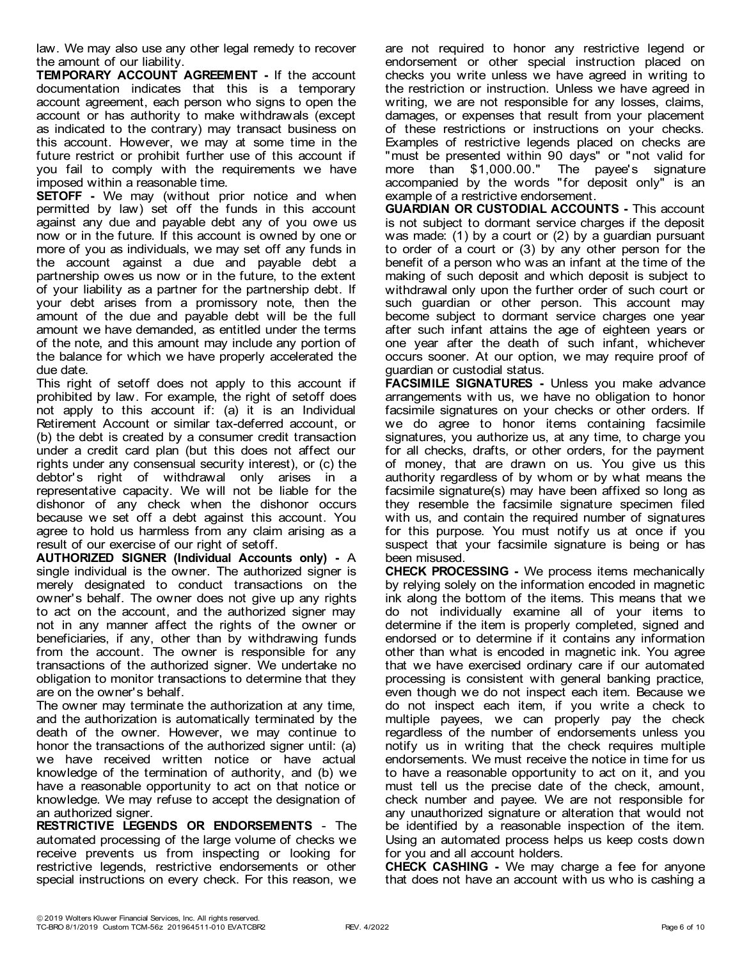law. We may also use any other legal remedy to recover the amount of our liability.

**TEMPORARY ACCOUNT AGREEMENT -** If the account documentation indicates that this is a temporary account agreement, each person who signs to open the account or has authority to make withdrawals (except as indicated to the contrary) may transact business on this account. However, we may at some time in the future restrict or prohibit further use of this account if you fail to comply with the requirements we have imposed within a reasonable time.

**SETOFF** - We may (without prior notice and when permitted by law) set off the funds in this account against any due and payable debt any of you owe us now or in the future. If this account is owned by one or more of you as individuals, we may set off any funds in the account against a due and payable debt a partnership owes us now or in the future, to the extent of your liability as a partner for the partnership debt. If your debt arises from a promissory note, then the amount of the due and payable debt will be the full amount we have demanded, as entitled under the terms of the note, and this amount may include any portion of the balance for which we have properly accelerated the due date.

This right of setoff does not apply to this account if prohibited by law. For example, the right of setoff does not apply to this account if: (a) it is an Individual Retirement Account or similar tax-deferred account, or (b) the debt is created by a consumer credit transaction under a credit card plan (but this does not affect our rights under any consensual security interest), or (c) the debtor's right of withdrawal only arises in a representative capacity. We will not be liable for the dishonor of any check when the dishonor occurs because we set off a debt against this account. You agree to hold us harmless from any claim arising as a result of our exercise of our right of setoff.

**AUTHORIZED SIGNER (Individual Accounts only) -** A single individual is the owner. The authorized signer is merely designated to conduct transactions on the owner's behalf. The owner does not give up any rights to act on the account, and the authorized signer may not in any manner affect the rights of the owner or beneficiaries, if any, other than by withdrawing funds from the account. The owner is responsible for any transactions of the authorized signer. We undertake no obligation to monitor transactions to determine that they are on the owner's behalf.

The owner may terminate the authorization at any time, and the authorization is automatically terminated by the death of the owner. However, we may continue to honor the transactions of the authorized signer until: (a) we have received written notice or have actual knowledge of the termination of authority, and (b) we have a reasonable opportunity to act on that notice or knowledge. We may refuse to accept the designation of an authorized signer.

**RESTRICTIVE LEGENDS OR ENDORSEMENTS** - The automated processing of the large volume of checks we receive prevents us from inspecting or looking for restrictive legends, restrictive endorsements or other special instructions on every check. For this reason, we are not required to honor any restrictive legend or endorsement or other special instruction placed on checks you write unless we have agreed in writing to the restriction or instruction. Unless we have agreed in writing, we are not responsible for any losses, claims, damages, or expenses that result from your placement of these restrictions or instructions on your checks. Examples of restrictive legends placed on checks are "must be presented within 90 days" or "not valid for more than \$1,000.00." The payee's signature accompanied by the words "for deposit only" is an example of a restrictive endorsement.

**GUARDIAN OR CUSTODIAL ACCOUNTS -** This account is not subject to dormant service charges if the deposit was made: (1) by a court or (2) by a guardian pursuant to order of a court or (3) by any other person for the benefit of a person who was an infant at the time of the making of such deposit and which deposit is subject to withdrawal only upon the further order of such court or such guardian or other person. This account may become subject to dormant service charges one year after such infant attains the age of eighteen years or one year after the death of such infant, whichever occurs sooner. At our option, we may require proof of guardian or custodial status.

**FACSIMILE SIGNATURES -** Unless you make advance arrangements with us, we have no obligation to honor facsimile signatures on your checks or other orders. If we do agree to honor items containing facsimile signatures, you authorize us, at any time, to charge you for all checks, drafts, or other orders, for the payment of money, that are drawn on us. You give us this authority regardless of by whom or by what means the facsimile signature(s) may have been affixed so long as they resemble the facsimile signature specimen filed with us, and contain the required number of signatures for this purpose. You must notify us at once if you suspect that your facsimile signature is being or has been misused.

**CHECK PROCESSING -** We process items mechanically by relying solely on the information encoded in magnetic ink along the bottom of the items. This means that we do not individually examine all of your items to determine if the item is properly completed, signed and endorsed or to determine if it contains any information other than what is encoded in magnetic ink. You agree that we have exercised ordinary care if our automated processing is consistent with general banking practice, even though we do not inspect each item. Because we do not inspect each item, if you write a check to multiple payees, we can properly pay the check regardless of the number of endorsements unless you notify us in writing that the check requires multiple endorsements. We must receive the notice in time for us to have a reasonable opportunity to act on it, and you must tell us the precise date of the check, amount, check number and payee. We are not responsible for any unauthorized signature or alteration that would not be identified by a reasonable inspection of the item. Using an automated process helps us keep costs down for you and all account holders.

**CHECK CASHING -** We may charge a fee for anyone that does not have an account with us who is cashing a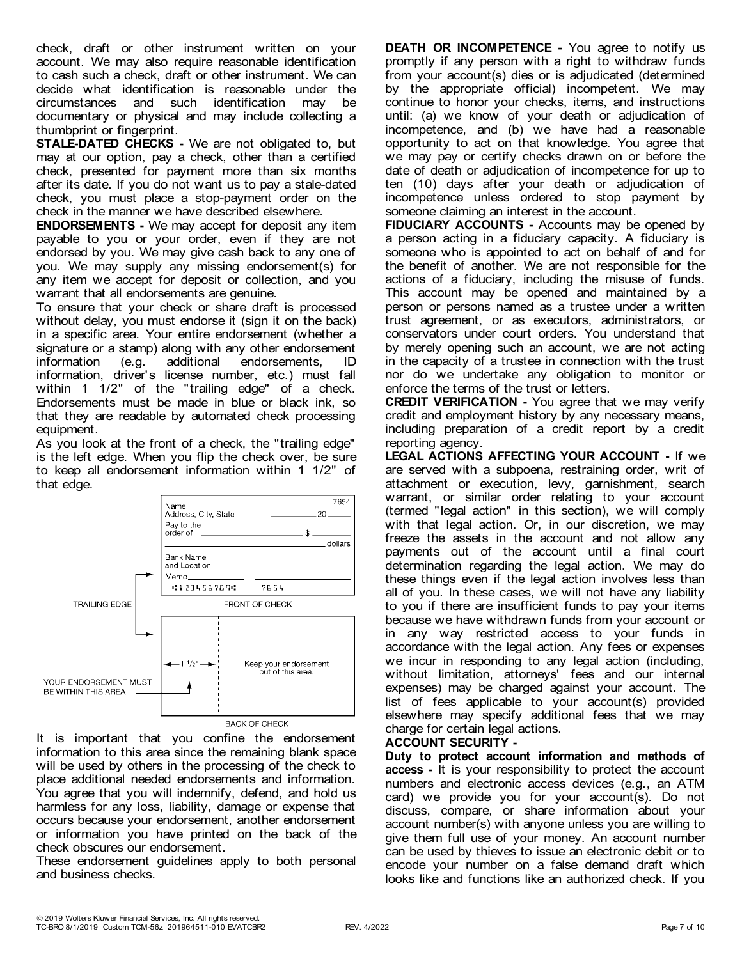check, draft or other instrument written on your account. We may also require reasonable identification to cash such a check, draft or other instrument. We can decide what identification is reasonable under the circumstances and such identification may be documentary or physical and may include collecting a thumbprint or fingerprint.

**STALE-DATED CHECKS -** We are not obligated to, but may at our option, pay a check, other than a certified check, presented for payment more than six months after its date. If you do not want us to pay a stale-dated check, you must place a stop-payment order on the check in the manner we have described elsewhere.

**ENDORSEMENTS -** We may accept for deposit any item payable to you or your order, even if they are not endorsed by you. We may give cash back to any one of you. We may supply any missing endorsement(s) for any item we accept for deposit or collection, and you warrant that all endorsements are genuine.

To ensure that your check or share draft is processed without delay, you must endorse it (sign it on the back) in a specific area. Your entire endorsement (whether a signature or a stamp) along with any other endorsement information (e.g. additional endorsements, ID information, driver's license number, etc.) must fall within 1 1/2" of the "trailing edge" of a check. Endorsements must be made in blue or black ink, so that they are readable by automated check processing equipment.

As you look at the front of a check, the "trailing edge" is the left edge. When you flip the check over, be sure to keep all endorsement information within 1 1/2" of that edge.



It is important that you confine the endorsement information to this area since the remaining blank space will be used by others in the processing of the check to place additional needed endorsements and information. You agree that you will indemnify, defend, and hold us harmless for any loss, liability, damage or expense that occurs because your endorsement, another endorsement or information you have printed on the back of the check obscures our endorsement.

These endorsement guidelines apply to both personal and business checks.

**DEATH OR INCOMPETENCE -** You agree to notify us promptly if any person with a right to withdraw funds from your account(s) dies or is adjudicated (determined by the appropriate official) incompetent. We may continue to honor your checks, items, and instructions until: (a) we know of your death or adjudication of incompetence, and (b) we have had a reasonable opportunity to act on that knowledge. You agree that we may pay or certify checks drawn on or before the date of death or adjudication of incompetence for up to ten (10) days after your death or adjudication of incompetence unless ordered to stop payment by someone claiming an interest in the account.

**FIDUCIARY ACCOUNTS -** Accounts may be opened by a person acting in a fiduciary capacity. A fiduciary is someone who is appointed to act on behalf of and for the benefit of another. We are not responsible for the actions of a fiduciary, including the misuse of funds. This account may be opened and maintained by a person or persons named as a trustee under a written trust agreement, or as executors, administrators, or conservators under court orders. You understand that by merely opening such an account, we are not acting in the capacity of a trustee in connection with the trust nor do we undertake any obligation to monitor or enforce the terms of the trust or letters.

**CREDIT VERIFICATION -** You agree that we may verify credit and employment history by any necessary means, including preparation of a credit report by a credit reporting agency.

**LEGAL ACTIONS AFFECTING YOUR ACCOUNT -** If we are served with a subpoena, restraining order, writ of attachment or execution, levy, garnishment, search warrant, or similar order relating to your account (termed "legal action" in this section), we will comply with that legal action. Or, in our discretion, we may freeze the assets in the account and not allow any payments out of the account until a final court determination regarding the legal action. We may do these things even if the legal action involves less than all of you. In these cases, we will not have any liability to you if there are insufficient funds to pay your items because we have withdrawn funds from your account or in any way restricted access to your funds in accordance with the legal action. Any fees or expenses we incur in responding to any legal action (including, without limitation, attorneys' fees and our internal expenses) may be charged against your account. The list of fees applicable to your account(s) provided elsewhere may specify additional fees that we may charge for certain legal actions.

## **ACCOUNT SECURITY -**

**Duty to protect account information and methods of access -** It is your responsibility to protect the account numbers and electronic access devices (e.g., an ATM card) we provide you for your account(s). Do not discuss, compare, or share information about your account number(s) with anyone unless you are willing to give them full use of your money. An account number can be used by thieves to issue an electronic debit or to encode your number on a false demand draft which looks like and functions like an authorized check. If you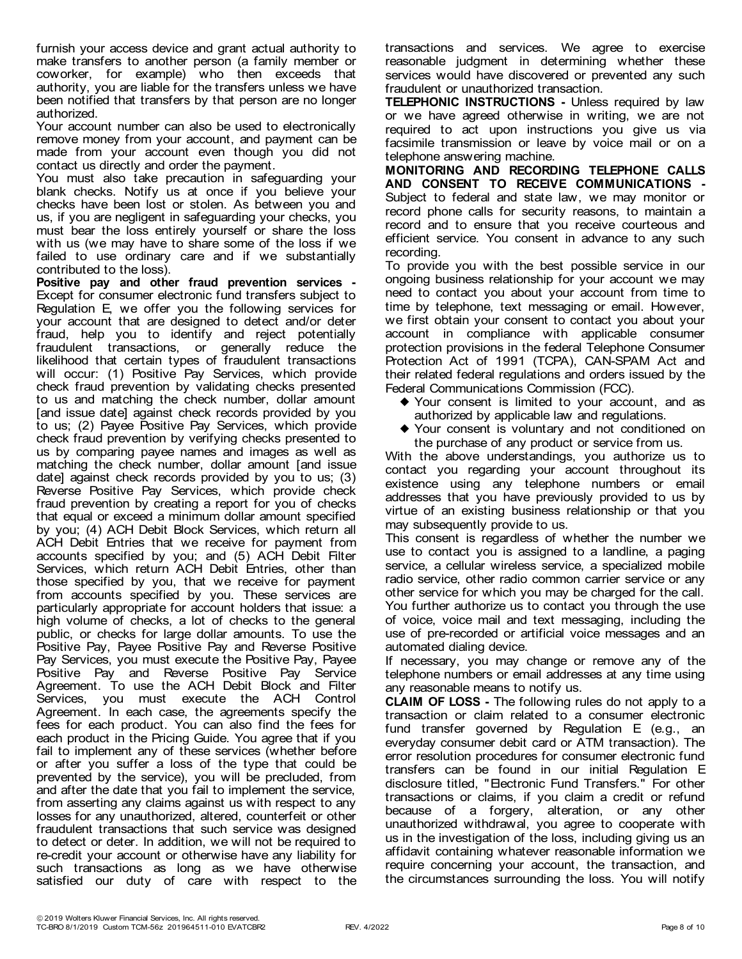furnish your access device and grant actual authority to make transfers to another person (a family member or coworker, for example) who then exceeds that authority, you are liable for the transfers unless we have been notified that transfers by that person are no longer authorized.

Your account number can also be used to electronically remove money from your account, and payment can be made from your account even though you did not contact us directly and order the payment.

You must also take precaution in safeguarding your blank checks. Notify us at once if you believe your checks have been lost or stolen. As between you and us, if you are negligent in safeguarding your checks, you must bear the loss entirely yourself or share the loss with us (we may have to share some of the loss if we failed to use ordinary care and if we substantially contributed to the loss).

**Positive pay and other fraud prevention services -** Except for consumer electronic fund transfers subject to Regulation E, we offer you the following services for your account that are designed to detect and/or deter fraud, help you to identify and reject potentially fraudulent transactions, or generally reduce the likelihood that certain types of fraudulent transactions will occur: (1) Positive Pay Services, which provide check fraud prevention by validating checks presented to us and matching the check number, dollar amount [and issue date] against check records provided by you to us; (2) Payee Positive Pay Services, which provide check fraud prevention by verifying checks presented to us by comparing payee names and images as well as matching the check number, dollar amount [and issue date] against check records provided by you to us; (3) Reverse Positive Pay Services, which provide check fraud prevention by creating a report for you of checks that equal or exceed a minimum dollar amount specified by you; (4) ACH Debit Block Services, which return all ACH Debit Entries that we receive for payment from accounts specified by you; and (5) ACH Debit Filter Services, which return ACH Debit Entries, other than those specified by you, that we receive for payment from accounts specified by you. These services are particularly appropriate for account holders that issue: a high volume of checks, a lot of checks to the general public, or checks for large dollar amounts. To use the Positive Pay, Payee Positive Pay and Reverse Positive Pay Services, you must execute the Positive Pay, Payee Positive Pay and Reverse Positive Pay Service Agreement. To use the ACH Debit Block and Filter Services, you must execute the ACH Control Agreement. In each case, the agreements specify the fees for each product. You can also find the fees for each product in the Pricing Guide. You agree that if you fail to implement any of these services (whether before or after you suffer a loss of the type that could be prevented by the service), you will be precluded, from and after the date that you fail to implement the service, from asserting any claims against us with respect to any losses for any unauthorized, altered, counterfeit or other fraudulent transactions that such service was designed to detect or deter. In addition, we will not be required to re-credit your account or otherwise have any liability for such transactions as long as we have otherwise satisfied our duty of care with respect to the

transactions and services. We agree to exercise reasonable judgment in determining whether these services would have discovered or prevented any such fraudulent or unauthorized transaction.

**TELEPHONIC INSTRUCTIONS -** Unless required by law or we have agreed otherwise in writing, we are not required to act upon instructions you give us via facsimile transmission or leave by voice mail or on a telephone answering machine.

**MONITORING AND RECORDING TELEPHONE CALLS AND CONSENT TO RECEIVE COMMUNICATIONS -** Subject to federal and state law, we may monitor or record phone calls for security reasons, to maintain a record and to ensure that you receive courteous and efficient service. You consent in advance to any such recording.

To provide you with the best possible service in our ongoing business relationship for your account we may need to contact you about your account from time to time by telephone, text messaging or email. However, we first obtain your consent to contact you about your account in compliance with applicable consumer protection provisions in the federal Telephone Consumer Protection Act of 1991 (TCPA), CAN-SPAM Act and their related federal regulations and orders issued by the Federal Communications Commission (FCC).

- $\blacklozenge$  Your consent is limited to your account, and as authorized by applicable law and regulations.
- ◆ Your consent is voluntary and not conditioned on the purchase of any product or service from us.

With the above understandings, you authorize us to contact you regarding your account throughout its existence using any telephone numbers or email addresses that you have previously provided to us by virtue of an existing business relationship or that you may subsequently provide to us.

This consent is regardless of whether the number we use to contact you is assigned to a landline, a paging service, a cellular wireless service, a specialized mobile radio service, other radio common carrier service or any other service for which you may be charged for the call. You further authorize us to contact you through the use of voice, voice mail and text messaging, including the use of pre-recorded or artificial voice messages and an automated dialing device.

If necessary, you may change or remove any of the telephone numbers or email addresses at any time using any reasonable means to notify us.

**CLAIM OF LOSS -** The following rules do not apply to a transaction or claim related to a consumer electronic fund transfer governed by Regulation E (e.g., an everyday consumer debit card or ATM transaction). The error resolution procedures for consumer electronic fund transfers can be found in our initial Regulation E disclosure titled, "Electronic Fund Transfers." For other transactions or claims, if you claim a credit or refund because of a forgery, alteration, or any other unauthorized withdrawal, you agree to cooperate with us in the investigation of the loss, including giving us an affidavit containing whatever reasonable information we require concerning your account, the transaction, and the circumstances surrounding the loss. You will notify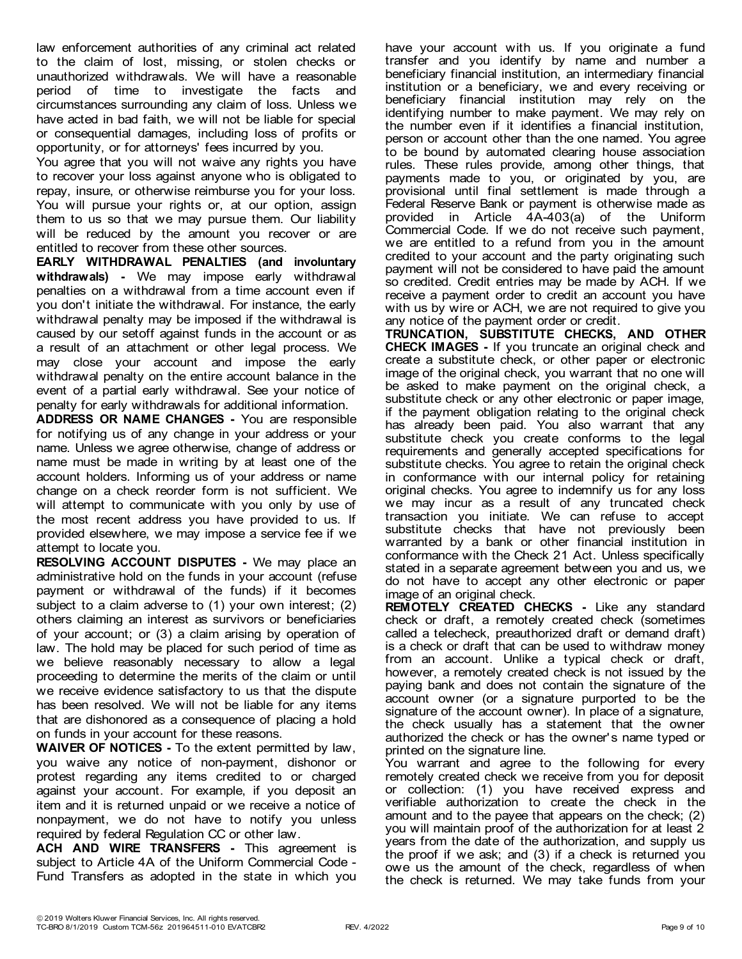law enforcement authorities of any criminal act related to the claim of lost, missing, or stolen checks or unauthorized withdrawals. We will have a reasonable period of time to investigate the facts and circumstances surrounding any claim of loss. Unless we have acted in bad faith, we will not be liable for special or consequential damages, including loss of profits or opportunity, or for attorneys' fees incurred by you.

You agree that you will not waive any rights you have to recover your loss against anyone who is obligated to repay, insure, or otherwise reimburse you for your loss. You will pursue your rights or, at our option, assign them to us so that we may pursue them. Our liability will be reduced by the amount you recover or are entitled to recover from these other sources.

**EARLY WITHDRAWAL PENALTIES (and involuntary withdrawals) -** We may impose early withdrawal penalties on a withdrawal from a time account even if you don't initiate the withdrawal. For instance, the early withdrawal penalty may be imposed if the withdrawal is caused by our setoff against funds in the account or as a result of an attachment or other legal process. We may close your account and impose the early withdrawal penalty on the entire account balance in the event of a partial early withdrawal. See your notice of penalty for early withdrawals for additional information.

**ADDRESS OR NAME CHANGES -** You are responsible for notifying us of any change in your address or your name. Unless we agree otherwise, change of address or name must be made in writing by at least one of the account holders. Informing us of your address or name change on a check reorder form is not sufficient. We will attempt to communicate with you only by use of the most recent address you have provided to us. If provided elsewhere, we may impose a service fee if we attempt to locate you.

**RESOLVING ACCOUNT DISPUTES -** We may place an administrative hold on the funds in your account (refuse payment or withdrawal of the funds) if it becomes subject to a claim adverse to (1) your own interest; (2) others claiming an interest as survivors or beneficiaries of your account; or (3) a claim arising by operation of law. The hold may be placed for such period of time as we believe reasonably necessary to allow a legal proceeding to determine the merits of the claim or until we receive evidence satisfactory to us that the dispute has been resolved. We will not be liable for any items that are dishonored as a consequence of placing a hold on funds in your account for these reasons.

**WAIVER OF NOTICES -** To the extent permitted by law, you waive any notice of non-payment, dishonor or protest regarding any items credited to or charged against your account. For example, if you deposit an item and it is returned unpaid or we receive a notice of nonpayment, we do not have to notify you unless required by federal Regulation CC or other law.

**ACH AND WIRE TRANSFERS -** This agreement is subject to Article 4A of the Uniform Commercial Code - Fund Transfers as adopted in the state in which you have your account with us. If you originate a fund transfer and you identify by name and number a beneficiary financial institution, an intermediary financial institution or a beneficiary, we and every receiving or beneficiary financial institution may rely on the identifying number to make payment. We may rely on the number even if it identifies a financial institution, person or account other than the one named. You agree to be bound by automated clearing house association rules. These rules provide, among other things, that payments made to you, or originated by you, are provisional until final settlement is made through a Federal Reserve Bank or payment is otherwise made as provided in Article 4A-403(a) of the Uniform Commercial Code. If we do not receive such payment, we are entitled to a refund from you in the amount credited to your account and the party originating such payment will not be considered to have paid the amount so credited. Credit entries may be made by ACH. If we receive a payment order to credit an account you have with us by wire or ACH, we are not required to give you any notice of the payment order or credit.

**TRUNCATION, SUBSTITUTE CHECKS, AND OTHER CHECK IMAGES -** If you truncate an original check and create a substitute check, or other paper or electronic image of the original check, you warrant that no one will be asked to make payment on the original check, a substitute check or any other electronic or paper image, if the payment obligation relating to the original check has already been paid. You also warrant that any substitute check you create conforms to the legal requirements and generally accepted specifications for substitute checks. You agree to retain the original check in conformance with our internal policy for retaining original checks. You agree to indemnify us for any loss we may incur as a result of any truncated check transaction you initiate. We can refuse to accept substitute checks that have not previously been warranted by a bank or other financial institution in conformance with the Check 21 Act. Unless specifically stated in a separate agreement between you and us, we do not have to accept any other electronic or paper image of an original check.

**REMOTELY CREATED CHECKS -** Like any standard check or draft, a remotely created check (sometimes called a telecheck, preauthorized draft or demand draft) is a check or draft that can be used to withdraw money from an account. Unlike a typical check or draft, however, a remotely created check is not issued by the paying bank and does not contain the signature of the account owner (or a signature purported to be the signature of the account owner). In place of a signature, the check usually has a statement that the owner authorized the check or has the owner's name typed or printed on the signature line.

You warrant and agree to the following for every remotely created check we receive from you for deposit or collection: (1) you have received express and verifiable authorization to create the check in the amount and to the payee that appears on the check; (2) you will maintain proof of the authorization for at least 2 years from the date of the authorization, and supply us the proof if we ask; and (3) if a check is returned you owe us the amount of the check, regardless of when the check is returned. We may take funds from your